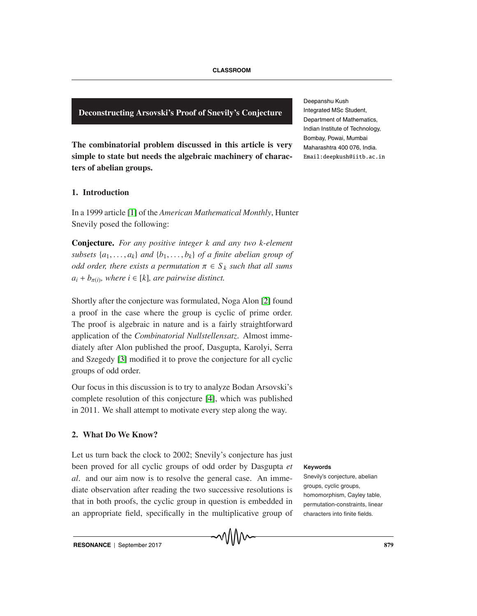**Deconstructing Arsovski's Proof of Snevily's Conjecture**

**The combinatorial problem discussed in this article is very simple to state but needs the algebraic machinery of characters of abelian groups.**

# **1. Introduction**

In a 1999 article [1] of the *American Mathematical Monthly*, Hunter Snevily posed the following:

**Conjecture.** *For any positive integer k and any two k-element subsets*  $\{a_1, \ldots, a_k\}$  *and*  $\{b_1, \ldots, b_k\}$  *of a finite abelian group of odd order, there exists a permutation*  $\pi \in S_k$  *such that all sums*  $a_i + b_{\pi(i)}$ *, where i* ∈ [*k*]*, are pairwise distinct.* 

Shortly after the conjecture was formulated, Noga Alon [2] found a proof in the case where the group is cyclic of prime order. The proof is algebraic in nature and is a fairly straightforward application of the *Combinatorial Nullstellensatz*. Almost immediately after Alon published the proof, Dasgupta, Karolyi, Serra and Szegedy [3] modified it to prove the conjecture for all cyclic groups of odd order.

Our focus in this discussion is to try to analyze Bodan Arsovski's complete resolution of this conjecture [4], which was published in 2011. We shall attempt to motivate every step along the way.

# **2. What Do We Know?**

Let us turn back the clock to 2002; Snevily's conjecture has just been proved for all cyclic groups of odd order by Dasgupta et **Keywords** *al*. and our aim now is to resolve the general case. An immediate observation after reading the two successive resolutions is that in both proofs, the cyclic group in question is embedded in an appropriate field, specifically in the multiplicative group of



Snevily's conjecture, abelian groups, cyclic groups, homomorphism, Cayley table, permutation-constraints, linear characters into finite fields.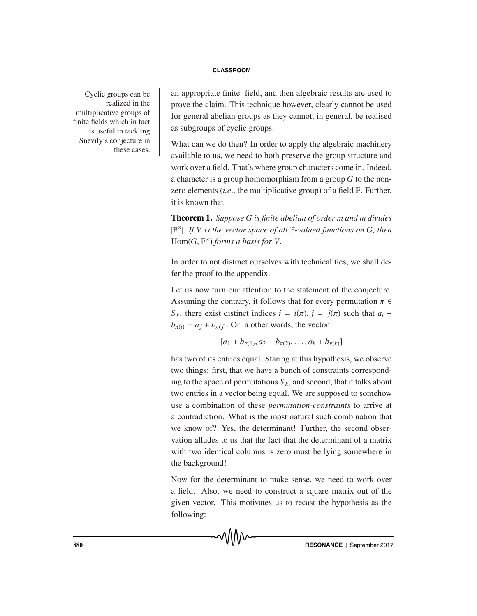realized in the multiplicative groups of finite fields which in fact is useful in tackling Snevily's conjecture in these cases.

Cyclic groups can be an appropriate finite field, and then algebraic results are used to prove the claim. This technique however, clearly cannot be used for general abelian groups as they cannot, in general, be realised as subgroups of cyclic groups.

> What can we do then? In order to apply the algebraic machinery available to us, we need to both preserve the group structure and work over a field. That's where group characters come in. Indeed, a character is a group homomorphism from a group *G* to the nonzero elements (*i.e*., the multiplicative group) of a field F. Further, it is known that

> **Theorem 1.** *Suppose G is finite abelian of order m and m divides* <sup>|</sup>F×|*. If V is the vector space of all* <sup>F</sup>*-valued functions on G, then* Hom $(G, \mathbb{F}^{\times})$  *forms a basis for V.*

> In order to not distract ourselves with technicalities, we shall defer the proof to the appendix.

> Let us now turn our attention to the statement of the conjecture. Assuming the contrary, it follows that for every permutation  $\pi \in$ *S*<sub>k</sub>, there exist distinct indices  $i = i(\pi), j = j(\pi)$  such that  $a_i$  +  $b_{\pi(i)} = a_i + b_{\pi(i)}$ . Or in other words, the vector

$$
[a_1 + b_{\pi(1)}, a_2 + b_{\pi(2)}, \ldots, a_k + b_{\pi(k)}]
$$

has two of its entries equal. Staring at this hypothesis, we observe two things: first, that we have a bunch of constraints corresponding to the space of permutations  $S_k$ , and second, that it talks about two entries in a vector being equal. We are supposed to somehow use a combination of these *permutation-constraints* to arrive at a contradiction. What is the most natural such combination that we know of? Yes, the determinant! Further, the second observation alludes to us that the fact that the determinant of a matrix with two identical columns is zero must be lying somewhere in the background!

Now for the determinant to make sense, we need to work over a field. Also, we need to construct a square matrix out of the given vector. This motivates us to recast the hypothesis as the following: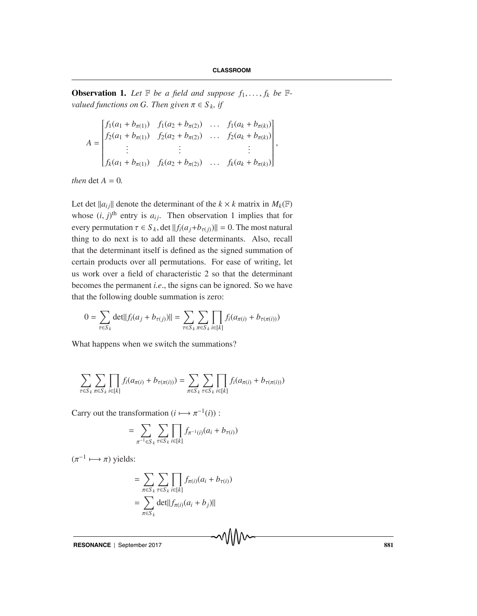,

**Observation 1.** Let  $\mathbb{F}$  be a field and suppose  $f_1, \ldots, f_k$  be  $\mathbb{F}$ *valued functions on G. Then given*  $\pi \in S_k$ , *if* 

$$
A = \begin{bmatrix} f_1(a_1 + b_{\pi(1)}) & f_1(a_2 + b_{\pi(2)}) & \dots & f_1(a_k + b_{\pi(k)}) \\ f_2(a_1 + b_{\pi(1)}) & f_2(a_2 + b_{\pi(2)}) & \dots & f_2(a_k + b_{\pi(k)}) \\ \vdots & \vdots & \vdots & \vdots \\ f_k(a_1 + b_{\pi(1)}) & f_k(a_2 + b_{\pi(2)}) & \dots & f_k(a_k + b_{\pi(k)}) \end{bmatrix}
$$

*then*  $\det A = 0$ *.* 

Let det  $||a_{ij}||$  denote the determinant of the  $k \times k$  matrix in  $M_k(\mathbb{F})$ whose  $(i, j)$ <sup>th</sup> entry is  $a_{ij}$ . Then observation 1 implies that for every permutation  $\tau \in S_k$ , det  $||f_i(a_i + b_{\tau(i)})|| = 0$ . The most natural thing to do next is to add all these determinants. Also, recall that the determinant itself is defined as the signed summation of certain products over all permutations. For ease of writing, let us work over a field of characteristic 2 so that the determinant becomes the permanent *i.e*., the signs can be ignored. So we have that the following double summation is zero:

$$
0 = \sum_{\tau \in S_k} \det ||f_i(a_j + b_{\tau(j)})|| = \sum_{\tau \in S_k} \sum_{\pi \in S_k} \prod_{i \in [k]} f_i(a_{\pi(i)} + b_{\tau(\pi(i))})
$$

What happens when we switch the summations?

$$
\sum_{\tau \in S_k} \sum_{\pi \in S_k} \prod_{i \in [k]} f_i(a_{\pi(i)} + b_{\tau(\pi(i))}) = \sum_{\pi \in S_k} \sum_{\tau \in S_k} \prod_{i \in [k]} f_i(a_{\pi(i)} + b_{\tau(\pi(i))})
$$

Carry out the transformation  $(i \mapsto \pi^{-1}(i))$ :

$$
= \sum_{\pi^{-1} \in S_k} \sum_{\tau \in S_k} \prod_{i \in [k]} f_{\pi^{-1}(i)}(a_i + b_{\tau(i)})
$$

 $(\pi^{-1} \longmapsto \pi)$  yields:

$$
= \sum_{\pi \in S_k} \sum_{\tau \in S_k} \prod_{i \in [k]} f_{\pi(i)}(a_i + b_{\tau(i)})
$$

$$
= \sum_{\pi \in S_k} det||f_{\pi(i)}(a_i + b_j)||
$$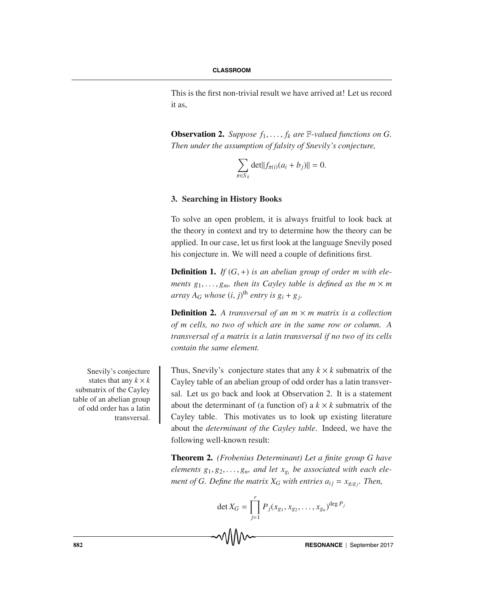This is the first non-trivial result we have arrived at! Let us record it as,

**Observation 2.** Suppose  $f_1, \ldots, f_k$  are  $\mathbb{F}\text{-}valued$  functions on G. *Then under the assumption of falsity of Snevily's conjecture,*

$$
\sum_{\pi \in S_k} \det ||f_{\pi(i)}(a_i + b_j)|| = 0.
$$

## **3. Searching in History Books**

To solve an open problem, it is always fruitful to look back at the theory in context and try to determine how the theory can be applied. In our case, let us first look at the language Snevily posed his conjecture in. We will need a couple of definitions first.

**Definition 1.** *If*  $(G, +)$  *is an abelian group of order m with elements*  $g_1, \ldots, g_m$ , then its Cayley table is defined as the  $m \times m$ *array*  $A_G$  *whose*  $(i, j)$ <sup>th</sup> *entry is*  $g_i + g_j$ .

**Definition 2.** A transversal of an  $m \times m$  matrix is a collection *of m cells, no two of which are in the same row or column. A transversal of a matrix is a latin transversal if no two of its cells contain the same element.*

Thus, Snevily's conjecture states that any  $k \times k$  submatrix of the Cayley table of an abelian group of odd order has a latin transversal. Let us go back and look at Observation 2. It is a statement about the determinant of (a function of) a  $k \times k$  submatrix of the Cayley table. This motivates us to look up existing literature about the *determinant of the Cayley table*. Indeed, we have the following well-known result:

**Theorem 2.** *(Frobenius Determinant) Let a finite group G have elements*  $g_1, g_2, \ldots, g_n$ , and let  $x_{g_i}$  be associated with each ele*ment of G. Define the matrix*  $X_G$  *with entries*  $a_{ij} = x_{g_ig_j}$ *. Then,* 

$$
\det X_G = \prod_{j=1}^r P_j(x_{g_1}, x_{g_2}, \dots, x_{g_n})^{\deg P_j}
$$

Snevily's conjecture states that any  $k \times k$ submatrix of the Cayley table of an abelian group of odd order has a latin transversal.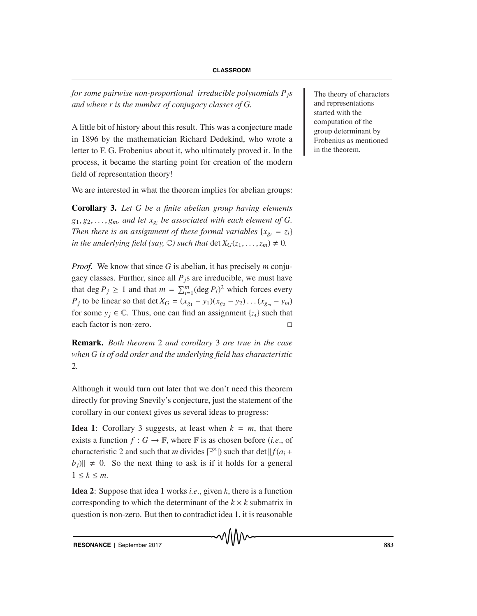*for some pairwise non-proportional irreducible polynomials*  $P_j$ s  $\blacksquare$  The theory of characters *and where r is the number of conjugacy classes of G.*

A little bit of history about this result. This was a conjecture made in 1896 by the mathematician Richard Dedekind, who wrote a letter to F. G. Frobenius about it, who ultimately proved it. In the process, it became the starting point for creation of the modern field of representation theory!

We are interested in what the theorem implies for abelian groups:

**Corollary 3.** *Let G be a finite abelian group having elements*  $g_1, g_2, \ldots, g_m$ , and let  $x_{g_i}$  be associated with each element of G. *Then there is an assignment of these formal variables*  $\{x_{g_i} = z_i\}$ *in the underlying field (say,*  $\mathbb{C}$ ) *such that det*  $X_G(z_1, \ldots, z_m) \neq 0$ *.* 

*Proof.* We know that since *G* is abelian, it has precisely *m* conjugacy classes. Further, since all  $P_j$ s are irreducible, we must have that deg  $P_j \ge 1$  and that  $m = \sum_{i=1}^m (\text{deg } P_i)^2$  which forces every *P<sub>j</sub>* to be linear so that det  $X_G = (x_{g_1} - y_1)(x_{g_2} - y_2) \dots (x_{g_m} - y_m)$ for some  $y_j \in \mathbb{C}$ . Thus, one can find an assignment  $\{z_i\}$  such that each factor is non-zero.

**Remark.** *Both theorem* 2 *and corollary* 3 *are true in the case when G is of odd order and the underlying field has characteristic* 2*.*

Although it would turn out later that we don't need this theorem directly for proving Snevily's conjecture, just the statement of the corollary in our context gives us several ideas to progress:

**Idea 1**: Corollary 3 suggests, at least when  $k = m$ , that there exists a function  $f: G \to \mathbb{F}$ , where  $\mathbb{F}$  is as chosen before (*i.e.*, of characteristic 2 and such that *m* divides  $\mathbb{F}^{\times}$ ) such that det  $\|f(a_i +$  $|b_j\rangle$   $\neq$  0. So the next thing to ask is if it holds for a general  $1 \leq k \leq m$ .

**Idea 2**: Suppose that idea 1 works *i.e*., given *k*, there is a function corresponding to which the determinant of the  $k \times k$  submatrix in question is non-zero. But then to contradict idea 1, it is reasonable

and representations started with the computation of the group determinant by Frobenius as mentioned in the theorem.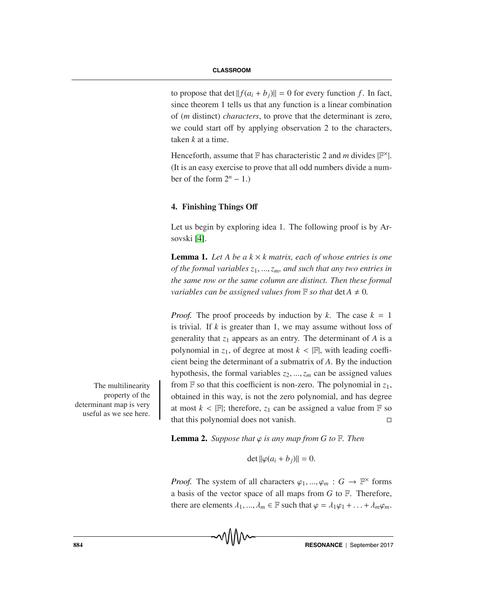to propose that det  $|| f(a_i + b_j) || = 0$  for every function *f*. In fact, since theorem 1 tells us that any function is a linear combination of (*m* distinct) *characters*, to prove that the determinant is zero, we could start off by applying observation 2 to the characters, taken *k* at a time.

Henceforth, assume that  $\mathbb F$  has characteristic 2 and *m* divides  $|\mathbb F^{\times}|$ . (It is an easy exercise to prove that all odd numbers divide a number of the form  $2^n - 1$ .)

### **4. Finishing Things O**ff

Let us begin by exploring idea 1. The following proof is by Arsovski [4].

**Lemma 1.** Let A be a  $k \times k$  matrix, each of whose entries is one *of the formal variables z*1, ...,*zm, and such that any two entries in the same row or the same column are distinct. Then these formal variables can be assigned values from*  $\mathbb F$  *so that*  $\det A \neq 0$ .

*Proof.* The proof proceeds by induction by *k*. The case  $k = 1$ is trivial. If *k* is greater than 1, we may assume without loss of generality that *z*<sup>1</sup> appears as an entry. The determinant of *A* is a polynomial in  $z_1$ , of degree at most  $k < |F|$ , with leading coefficient being the determinant of a submatrix of *A*. By the induction hypothesis, the formal variables  $z_2, ..., z_m$  can be assigned values The multilinearity from  $\mathbb F$  so that this coefficient is non-zero. The polynomial in  $z_1$ , obtained in this way, is not the zero polynomial, and has degree at most  $k < |\mathbb{F}|$ ; therefore,  $z_1$  can be assigned a value from  $\mathbb{F}$  so that this polynomial does not vanish.  $\Box$ 

**Lemma 2.** *Suppose that*  $\varphi$  *is any map from G to*  $\mathbb{F}$ *. Then* 

$$
\det \|\varphi(a_i + b_j)\| = 0.
$$

*Proof.* The system of all characters  $\varphi_1, ..., \varphi_m : G \to \mathbb{F}^\times$  forms a basis of the vector space of all maps from *G* to F. Therefore, there are elements  $\lambda_1, ..., \lambda_m \in \mathbb{F}$  such that  $\varphi = \lambda_1 \varphi_1 + ... + \lambda_m \varphi_m$ .

property of the determinant map is very useful as we see here.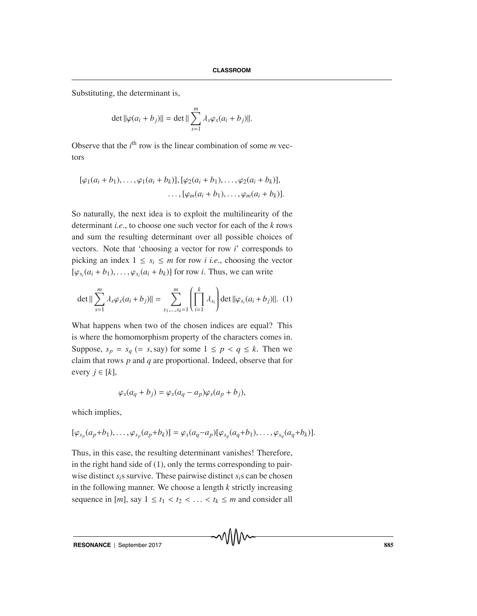Substituting, the determinant is,

$$
\det ||\varphi(a_i + b_j)|| = \det || \sum_{s=1}^{m} \lambda_s \varphi_s(a_i + b_j)||.
$$

Observe that the  $i<sup>th</sup>$  row is the linear combination of some  $m$  vectors

$$
[\varphi_1(a_i + b_1), \ldots, \varphi_1(a_i + b_k)], [\varphi_2(a_i + b_1), \ldots, \varphi_2(a_i + b_k)],
$$
  
 
$$
\ldots, [\varphi_m(a_i + b_1), \ldots, \varphi_m(a_i + b_k)].
$$

So naturally, the next idea is to exploit the multilinearity of the determinant *i.e*., to choose one such vector for each of the *k* rows and sum the resulting determinant over all possible choices of vectors. Note that 'choosing a vector for row *i*' corresponds to picking an index  $1 \leq s_i \leq m$  for row *i i.e.*, choosing the vector  $[\varphi_{s_i}(a_i + b_1), \ldots, \varphi_{s_i}(a_i + b_k)]$  for row *i*. Thus, we can write

$$
\det \|\sum_{s=1}^{m} \lambda_s \varphi_s (a_i + b_j) \| = \sum_{s_1, \dots, s_k = 1}^{m} \left( \prod_{i=1}^{k} \lambda_{s_i} \right) \det \|\varphi_{s_i} (a_i + b_j) \|. \tag{1}
$$

What happens when two of the chosen indices are equal? This is where the homomorphism property of the characters comes in. Suppose,  $s_p = s_q (= s$ , say) for some  $1 \leq p < q \leq k$ . Then we claim that rows *p* and *q* are proportional. Indeed, observe that for every  $j \in [k]$ ,

$$
\varphi_s(a_q + b_j) = \varphi_s(a_q - a_p)\varphi_s(a_p + b_j),
$$

which implies,

$$
[\varphi_{s_p}(a_p+b_1),\ldots,\varphi_{s_p}(a_p+b_k)]=\varphi_s(a_q-a_p)[\varphi_{s_q}(a_q+b_1),\ldots,\varphi_{s_q}(a_q+b_k)].
$$

Thus, in this case, the resulting determinant vanishes! Therefore, in the right hand side of (1), only the terms corresponding to pairwise distinct *si*s survive. These pairwise distinct *si*s can be chosen in the following manner. We choose a length *k* strictly increasing sequence in [*m*], say  $1 \le t_1 < t_2 < \ldots < t_k \le m$  and consider all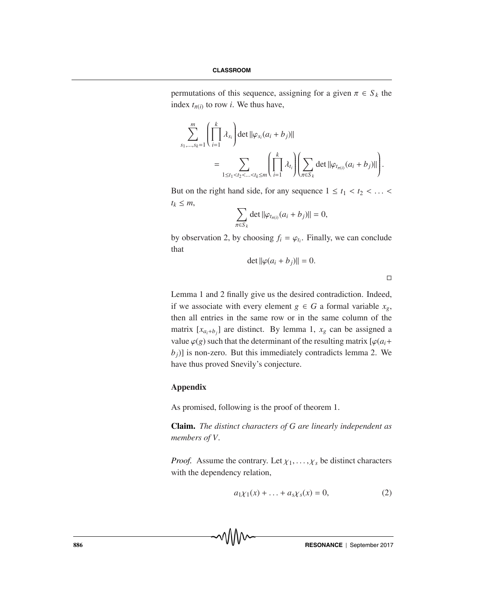permutations of this sequence, assigning for a given  $\pi \in S_k$  the index  $t_{\pi(i)}$  to row *i*. We thus have,

$$
\sum_{s_1,\dots,s_k=1}^m \left( \prod_{i=1}^k \lambda_{s_i} \right) \det \|\varphi_{s_i}(a_i + b_j)\|
$$
  
= 
$$
\sum_{1 \le t_1 < t_2 < \dots < t_k \le m} \left( \prod_{i=1}^k \lambda_{t_i} \right) \left( \sum_{\pi \in S_k} \det \|\varphi_{t_{\pi(i)}}(a_i + b_j)\| \right).
$$

But on the right hand side, for any sequence  $1 \le t_1 < t_2 < \ldots <$  $t_k \leq m$ ,

$$
\sum_{\pi \in S_k} \det ||\varphi_{t_{\pi(i)}}(a_i + b_j)|| = 0,
$$

by observation 2, by choosing  $f_i = \varphi_{t_i}$ . Finally, we can conclude that

$$
\det \|\varphi(a_i+b_j)\| = 0.
$$

 $\Box$ 

Lemma 1 and 2 finally give us the desired contradiction. Indeed, if we associate with every element *g* ∈ *G* a formal variable  $x_g$ , then all entries in the same row or in the same column of the matrix  $[x_{a_i+b_j}]$  are distinct. By lemma 1,  $x_g$  can be assigned a value  $\varphi(g)$  such that the determinant of the resulting matrix  $[\varphi(a_i +$  $b_j$ ] is non-zero. But this immediately contradicts lemma 2. We have thus proved Snevily's conjecture.

## **Appendix**

As promised, following is the proof of theorem 1.

**Claim.** *The distinct characters of G are linearly independent as members of V.*

*Proof.* Assume the contrary. Let  $\chi_1, \ldots, \chi_s$  be distinct characters with the dependency relation,

$$
a_1 \chi_1(x) + \ldots + a_s \chi_s(x) = 0, \tag{2}
$$